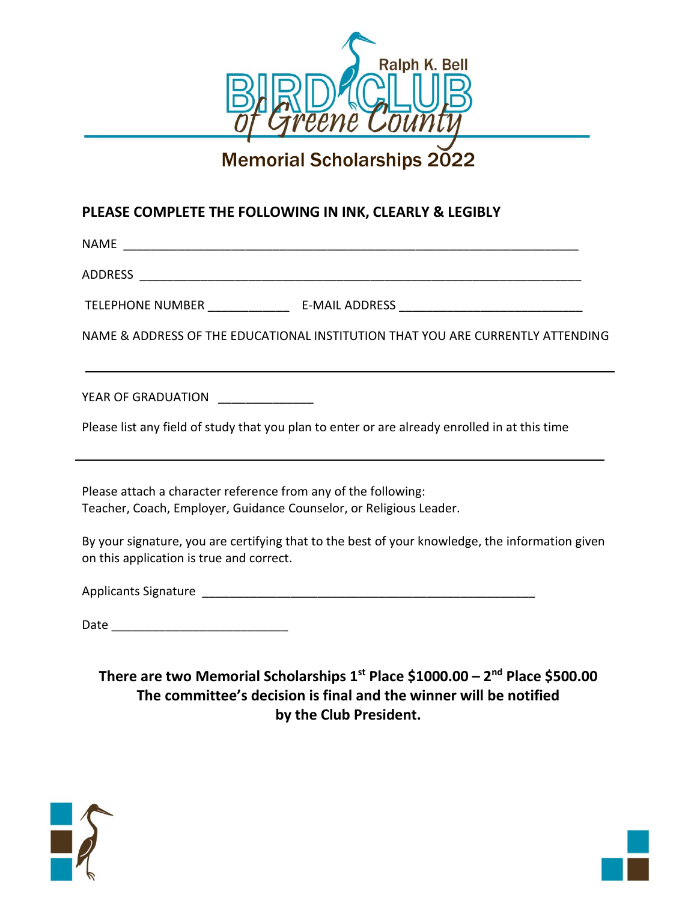

# Memorial Scholarships 2022

#### **PLEASE COMPLETE THE FOLLOWING IN INK, CLEARLY & LEGIBLY**

 $NAME$ ADDRESS **and a set of the set of the set of the set of the set of the set of the set of the set of the set of the set of the set of the set of the set of the set of the set of the set of the set of the set of the set of th** TELEPHONE NUMBER TELEPHONE NUMBER NAME & ADDRESS OF THE EDUCATIONAL INSTITUTION THAT YOU ARE CURRENTLY ATTENDING YEAR OF GRADUATION \_\_\_\_\_\_\_\_\_\_\_\_\_\_\_ Please list any field of study that you plan to enter or are already enrolled in at this time Please attach a character reference from any of the following: Teacher, Coach, Employer, Guidance Counselor, or Religious Leader.

By your signature, you are certifying that to the best of your knowledge, the information given on this application is true and correct.

Applicants Signature \_\_\_\_\_\_\_\_\_\_\_\_\_\_\_\_\_\_\_\_\_\_\_\_\_\_\_\_\_\_\_\_\_\_\_\_\_\_\_\_\_\_\_\_\_\_\_\_\_

Date \_\_\_\_\_\_\_\_\_\_\_\_\_\_\_\_\_\_\_\_\_\_\_\_\_\_

**There are two Memorial Scholarships 1st Place \$1000.00 – 2 nd Place \$500.00 The committee's decision is final and the winner will be notified by the Club President.**